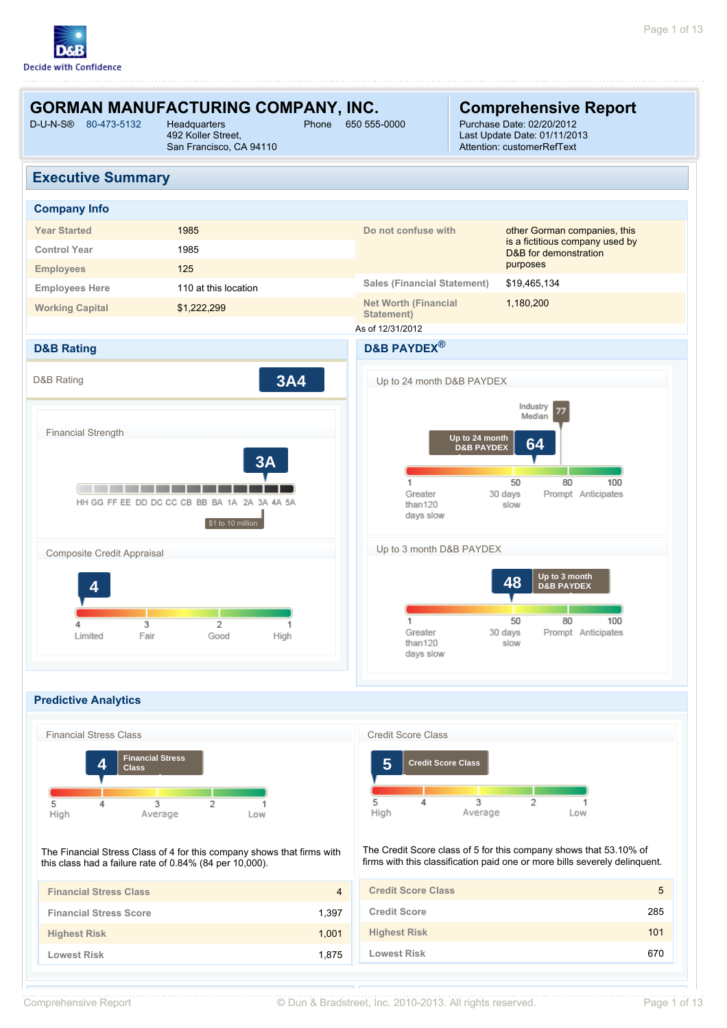

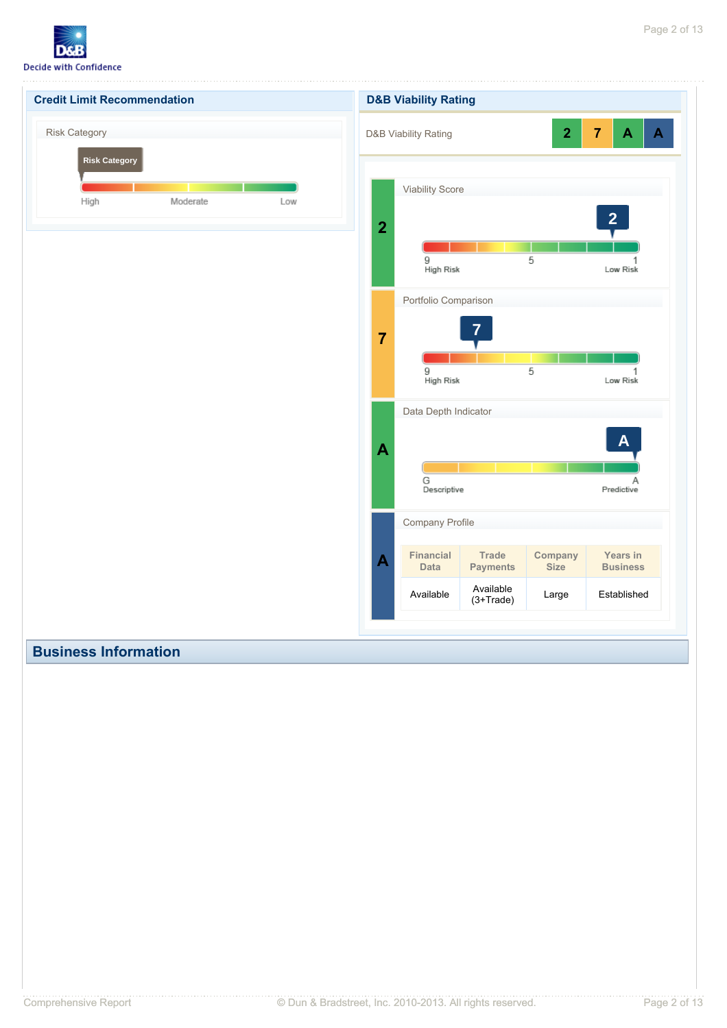

| <b>Credit Limit Recommendation</b>           |          |     |                  | <b>D&amp;B Viability Rating</b>                    |                                 |                         |                                                |
|----------------------------------------------|----------|-----|------------------|----------------------------------------------------|---------------------------------|-------------------------|------------------------------------------------|
| <b>Risk Category</b><br><b>Risk Category</b> |          |     |                  | D&B Viability Rating                               |                                 | $\overline{\mathbf{2}}$ | $\overline{7}$<br>$\mathbf{A}$<br>$\mathbf{A}$ |
| High                                         | Moderate | Low |                  | <b>Viability Score</b>                             |                                 |                         | $\overline{2}$                                 |
|                                              |          |     | $\overline{2}$   | 9<br>High Risk                                     |                                 | 5                       | Low Risk                                       |
|                                              |          |     | $\overline{7}$   | Portfolio Comparison                               | $\overline{7}$                  |                         |                                                |
|                                              |          |     |                  | 9<br>High Risk                                     |                                 | 5                       | 1<br>Low Risk                                  |
|                                              |          |     | $\mathbf{A}$     | Data Depth Indicator                               |                                 |                         | $\mathbf{A}$                                   |
|                                              |          |     |                  | G<br>Descriptive                                   |                                 |                         | Α<br>Predictive                                |
|                                              |          |     | $\blacktriangle$ | Company Profile<br><b>Financial</b><br><b>Data</b> | <b>Trade</b><br><b>Payments</b> | Company<br><b>Size</b>  | Years in<br><b>Business</b>                    |
|                                              |          |     |                  | Available                                          | Available<br>$(3+Trace)$        | Large                   | Established                                    |
|                                              |          |     |                  |                                                    |                                 |                         |                                                |

# **Business Information**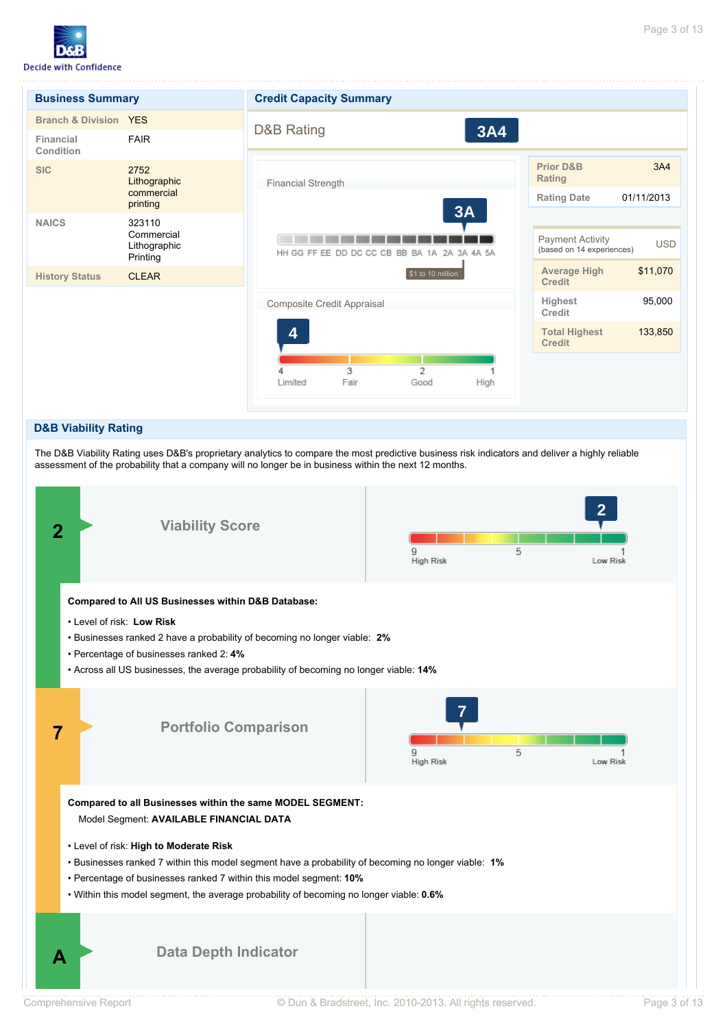

| <b>Business Summary</b>          |                                                  | <b>Credit Capacity Summary</b>                                                                                                 |  |  |  |  |  |
|----------------------------------|--------------------------------------------------|--------------------------------------------------------------------------------------------------------------------------------|--|--|--|--|--|
| <b>Branch &amp; Division YES</b> |                                                  |                                                                                                                                |  |  |  |  |  |
| Financial<br>Condition           | <b>FAIR</b>                                      | <b>D&amp;B Rating</b><br><b>3A4</b>                                                                                            |  |  |  |  |  |
| <b>SIC</b>                       | 2752<br>Lithographic                             | <b>Prior D&amp;B</b><br>3A4<br>Rating<br><b>Financial Strength</b>                                                             |  |  |  |  |  |
|                                  | commercial<br>printing                           | <b>Rating Date</b><br>01/11/2013                                                                                               |  |  |  |  |  |
| <b>NAICS</b>                     | 323110<br>Commercial<br>Lithographic<br>Printing | 3A<br><b>Payment Activity</b><br><b>USD</b><br>(based on 14 experiences)<br>HH GG FF EE DD DC CC CB BB BA 1A<br>2A<br>3A 4A 5A |  |  |  |  |  |
| <b>History Status</b>            | <b>CLEAR</b>                                     | \$11,070<br><b>Average High</b><br>\$1 to 10 million<br><b>Credit</b>                                                          |  |  |  |  |  |
|                                  |                                                  | 95,000<br>Highest<br>Composite Credit Appraisal<br>Credit                                                                      |  |  |  |  |  |
|                                  |                                                  | 133,850<br><b>Total Highest</b><br>4<br><b>Credit</b>                                                                          |  |  |  |  |  |
|                                  |                                                  | 3<br>2                                                                                                                         |  |  |  |  |  |
|                                  |                                                  | Limited<br>Fair<br>High<br>Good                                                                                                |  |  |  |  |  |

### **D&B Viability Rating**

The D&B Viability Rating uses D&B's proprietary analytics to compare the most predictive business risk indicators and deliver a highly reliable assessment of the probability that a company will no longer be in business within the next 12 months.

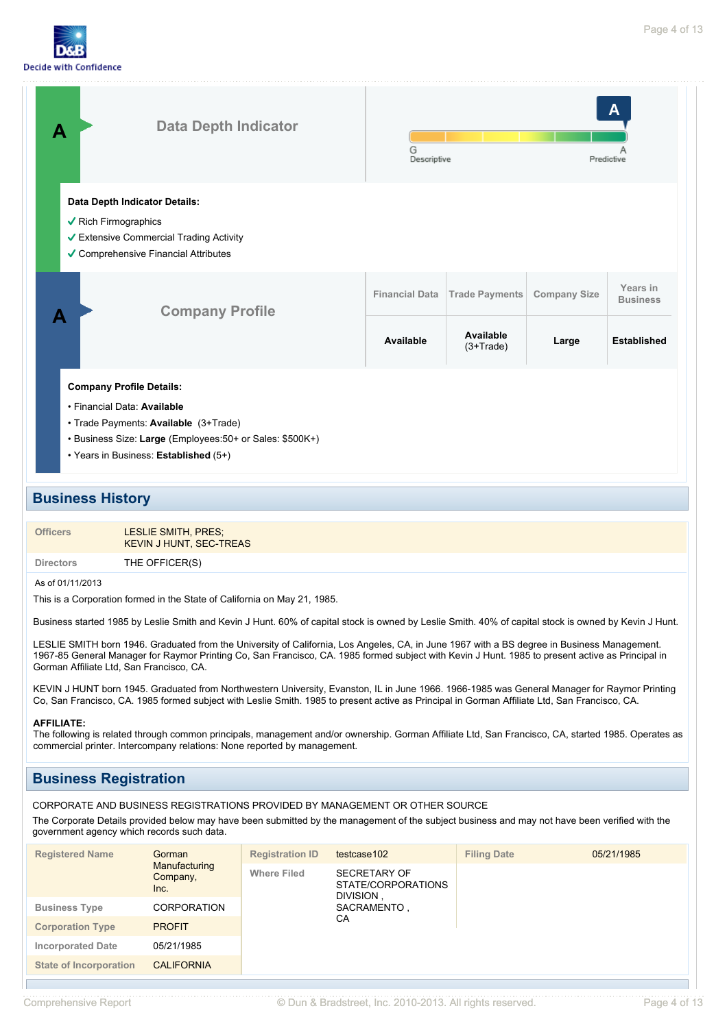



# **Business History**

| <b>Officers</b> | LESLIE SMITH, PRES;            |
|-----------------|--------------------------------|
|                 | <b>KEVIN J HUNT, SEC-TREAS</b> |

**Directors** THE OFFICER(S)

### As of 01/11/2013

This is a Corporation formed in the State of California on May 21, 1985.

Business started 1985 by Leslie Smith and Kevin J Hunt. 60% of capital stock is owned by Leslie Smith. 40% of capital stock is owned by Kevin J Hunt.

LESLIE SMITH born 1946. Graduated from the University of California, Los Angeles, CA, in June 1967 with a BS degree in Business Management. 1967-85 General Manager for Raymor Printing Co, San Francisco, CA. 1985 formed subject with Kevin J Hunt. 1985 to present active as Principal in Gorman Affiliate Ltd, San Francisco, CA.

KEVIN J HUNT born 1945. Graduated from Northwestern University, Evanston, IL in June 1966. 1966-1985 was General Manager for Raymor Printing Co, San Francisco, CA. 1985 formed subject with Leslie Smith. 1985 to present active as Principal in Gorman Affiliate Ltd, San Francisco, CA.

### **AFFILIATE:**

The following is related through common principals, management and/or ownership. Gorman Affiliate Ltd, San Francisco, CA, started 1985. Operates as commercial printer. Intercompany relations: None reported by management.

# **Business Registration**

CORPORATE AND BUSINESS REGISTRATIONS PROVIDED BY MANAGEMENT OR OTHER SOURCE

The Corporate Details provided below may have been submitted by the management of the subject business and may not have been verified with the government agency which records such data.

| <b>Registered Name</b>        | Gorman                                                  | <b>Registration ID</b>                                 | testcase102       | <b>Filing Date</b> | 05/21/1985 |
|-------------------------------|---------------------------------------------------------|--------------------------------------------------------|-------------------|--------------------|------------|
|                               | Manufacturing<br><b>Where Filed</b><br>Company,<br>Inc. | <b>SECRETARY OF</b><br>STATE/CORPORATIONS<br>DIVISION, |                   |                    |            |
| <b>Business Type</b>          | <b>CORPORATION</b>                                      |                                                        | SACRAMENTO,<br>СA |                    |            |
| <b>Corporation Type</b>       | <b>PROFIT</b>                                           |                                                        |                   |                    |            |
| <b>Incorporated Date</b>      | 05/21/1985                                              |                                                        |                   |                    |            |
| <b>State of Incorporation</b> | <b>CALIFORNIA</b>                                       |                                                        |                   |                    |            |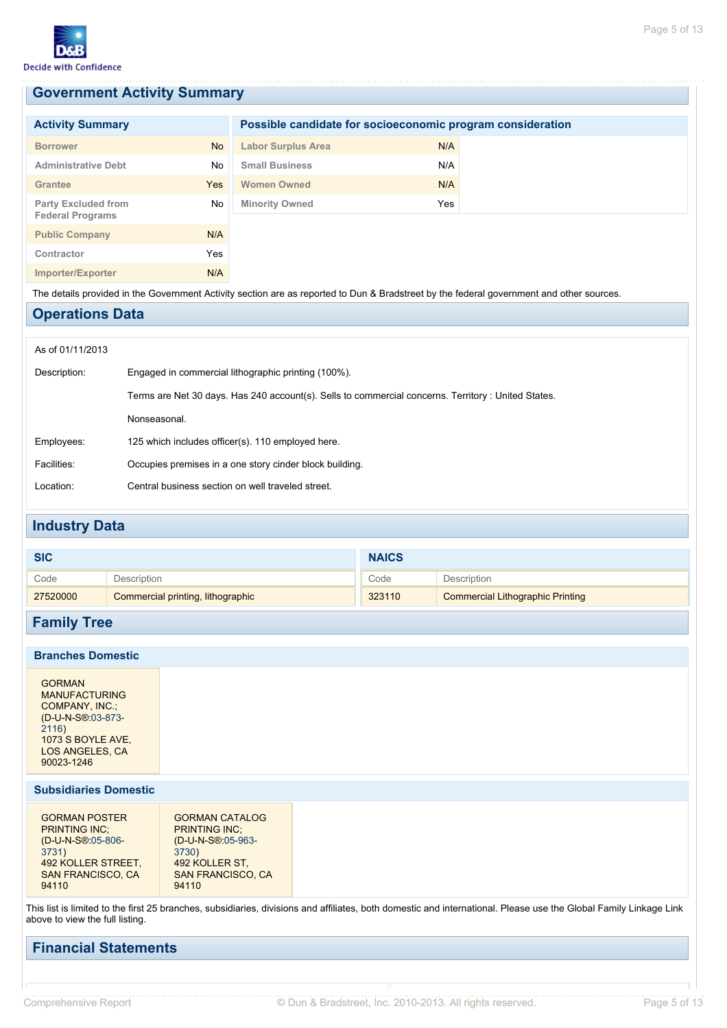# **Government Activity Summary**

| <b>Activity Summary</b>                               |           | Possible candidate for socioeconomic program consideration |     |  |
|-------------------------------------------------------|-----------|------------------------------------------------------------|-----|--|
| <b>Borrower</b>                                       | <b>No</b> | <b>Labor Surplus Area</b>                                  | N/A |  |
| <b>Administrative Debt</b>                            | No        | <b>Small Business</b>                                      | N/A |  |
| Grantee                                               | Yes       | <b>Women Owned</b>                                         | N/A |  |
| <b>Party Excluded from</b><br><b>Federal Programs</b> | No        | <b>Minority Owned</b>                                      | Yes |  |
| <b>Public Company</b>                                 | N/A       |                                                            |     |  |
| Contractor                                            | Yes       |                                                            |     |  |
| Importer/Exporter                                     | N/A       |                                                            |     |  |
|                                                       |           |                                                            |     |  |

The details provided in the Government Activity section are as reported to Dun & Bradstreet by the federal government and other sources.

# **Operations Data**

### As of 01/11/2013

| Description: | Engaged in commercial lithographic printing (100%).                                                 |
|--------------|-----------------------------------------------------------------------------------------------------|
|              | Terms are Net 30 days. Has 240 account(s). Sells to commercial concerns. Territory : United States. |
|              | Nonseasonal.                                                                                        |
| Employees:   | 125 which includes officer(s). 110 employed here.                                                   |
| Facilities:  | Occupies premises in a one story cinder block building.                                             |
| Location:    | Central business section on well traveled street.                                                   |

# **Industry Data**

| Code<br>Description<br>Description<br>Code<br>323110<br><b>Commercial Lithographic Printing</b><br>Commercial printing, lithographic<br>27520000 | <b>SIC</b> | <b>NAICS</b> |  |
|--------------------------------------------------------------------------------------------------------------------------------------------------|------------|--------------|--|
|                                                                                                                                                  |            |              |  |
|                                                                                                                                                  |            |              |  |

# **Family Tree**

# **Branches Domestic**

GORMAN MANUFACTURING COMPANY, INC.; (D-U-N-S®:03-873- 2116) 1073 S BOYLE AVE, LOS ANGELES, CA 90023-1246

# **Subsidiaries Domestic**

| <b>GORMAN POSTER</b><br><b>PRINTING INC:</b> | <b>GORMAN CATALOG</b><br><b>PRINTING INC:</b> |
|----------------------------------------------|-----------------------------------------------|
| (D-U-N-S®:05-806-                            | (D-U-N-S®:05-963-                             |
| 3731)                                        | 3730)                                         |
| 492 KOLLER STREET,                           | 492 KOLLER ST.                                |
| <b>SAN FRANCISCO, CA</b>                     | <b>SAN FRANCISCO, CA</b>                      |
| 94110                                        | 94110                                         |

This list is limited to the first 25 branches, subsidiaries, divisions and affiliates, both domestic and international. Please use the Global Family Linkage Link above to view the full listing.

# **Financial Statements**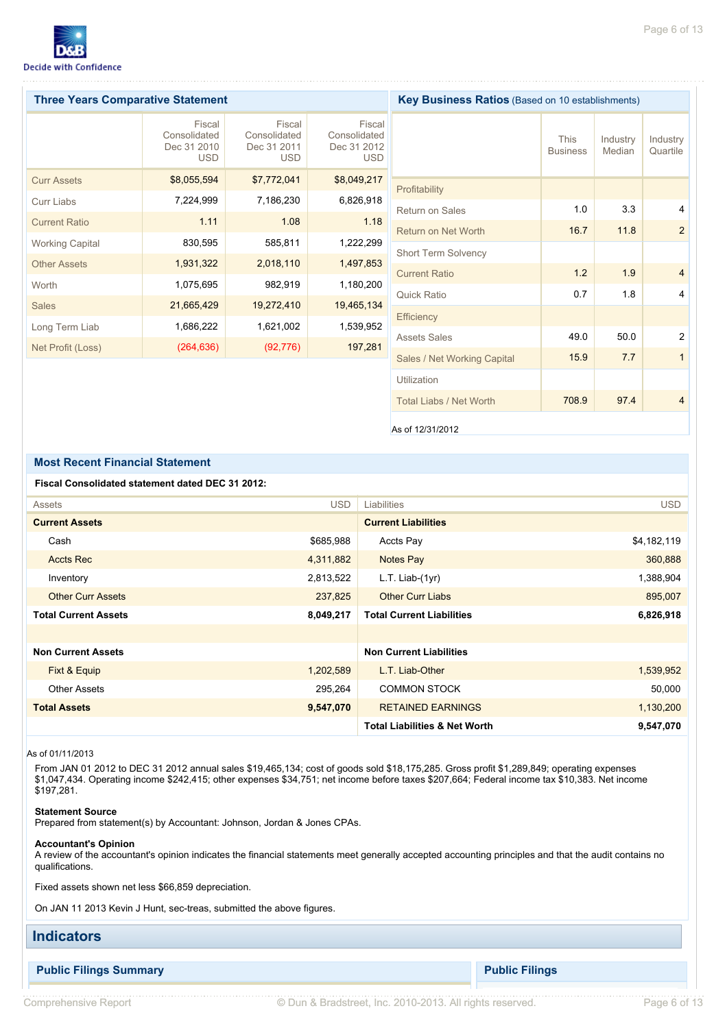

| <b>Three Years Comparative Statement</b> |                                                     |                                                     | <b>Key Business Ratios</b> (Based on 10 establishments) |                             |                                |                    |                      |
|------------------------------------------|-----------------------------------------------------|-----------------------------------------------------|---------------------------------------------------------|-----------------------------|--------------------------------|--------------------|----------------------|
|                                          | Fiscal<br>Consolidated<br>Dec 31 2010<br><b>USD</b> | Fiscal<br>Consolidated<br>Dec 31 2011<br><b>USD</b> | Fiscal<br>Consolidated<br>Dec 31 2012<br><b>USD</b>     |                             | <b>This</b><br><b>Business</b> | Industry<br>Median | Industry<br>Quartile |
| <b>Curr Assets</b>                       | \$8,055,594                                         | \$7,772,041                                         | \$8,049,217                                             |                             |                                |                    |                      |
| Curr Liabs                               | 7,224,999                                           | 7,186,230                                           | 6,826,918                                               | Profitability               |                                |                    |                      |
| <b>Current Ratio</b>                     | 1.11                                                | 1.08                                                | 1.18                                                    | <b>Return on Sales</b>      | 1.0                            | 3.3                | 4                    |
|                                          |                                                     |                                                     |                                                         | Return on Net Worth         | 16.7                           | 11.8               | 2                    |
| <b>Working Capital</b>                   | 830,595                                             | 585,811                                             | 1,222,299                                               | <b>Short Term Solvency</b>  |                                |                    |                      |
| <b>Other Assets</b>                      | 1,931,322                                           | 2,018,110                                           | 1,497,853                                               | <b>Current Ratio</b>        | 1.2                            | 1.9                | $\overline{4}$       |
| Worth                                    | 1,075,695                                           | 982,919                                             | 1,180,200                                               |                             |                                |                    |                      |
| <b>Sales</b>                             | 21,665,429                                          | 19,272,410                                          | 19,465,134                                              | Quick Ratio                 | 0.7                            | 1.8                | 4                    |
|                                          |                                                     |                                                     |                                                         | Efficiency                  |                                |                    |                      |
| Long Term Liab                           | 1,686,222                                           | 1,621,002                                           | 1,539,952                                               | <b>Assets Sales</b>         | 49.0                           | 50.0               | 2                    |
| Net Profit (Loss)                        | (264, 636)                                          | (92, 776)                                           | 197,281                                                 |                             | 15.9                           | 7.7                | $\mathbf{1}$         |
|                                          |                                                     |                                                     |                                                         | Sales / Net Working Capital |                                |                    |                      |

As of 12/31/2012

Total Liabs / Net Worth **708.9** 97.4 4

Utilization

## **Most Recent Financial Statement**

### **Fiscal Consolidated statement dated DEC 31 2012:**

| Assets                      | <b>USD</b> | Liabilities                              | <b>USD</b>  |
|-----------------------------|------------|------------------------------------------|-------------|
| <b>Current Assets</b>       |            | <b>Current Liabilities</b>               |             |
| Cash                        | \$685,988  | Accts Pay                                | \$4,182,119 |
| <b>Accts Rec</b>            | 4,311,882  | Notes Pay                                | 360,888     |
| Inventory                   | 2,813,522  | $L.T.$ Liab- $(1yr)$                     | 1,388,904   |
| <b>Other Curr Assets</b>    | 237,825    | <b>Other Curr Liabs</b>                  | 895,007     |
| <b>Total Current Assets</b> | 8,049,217  | <b>Total Current Liabilities</b>         | 6,826,918   |
|                             |            |                                          |             |
| <b>Non Current Assets</b>   |            | <b>Non Current Liabilities</b>           |             |
| Fixt & Equip                | 1,202,589  | L.T. Liab-Other                          | 1,539,952   |
| <b>Other Assets</b>         | 295,264    | <b>COMMON STOCK</b>                      | 50,000      |
| <b>Total Assets</b>         | 9,547,070  | <b>RETAINED EARNINGS</b>                 | 1,130,200   |
|                             |            | <b>Total Liabilities &amp; Net Worth</b> | 9,547,070   |

### As of 01/11/2013

From JAN 01 2012 to DEC 31 2012 annual sales \$19,465,134; cost of goods sold \$18,175,285. Gross profit \$1,289,849; operating expenses \$1,047,434. Operating income \$242,415; other expenses \$34,751; net income before taxes \$207,664; Federal income tax \$10,383. Net income \$197,281.

### **Statement Source**

Prepared from statement(s) by Accountant: Johnson, Jordan & Jones CPAs.

#### **Accountant's Opinion**

A review of the accountant's opinion indicates the financial statements meet generally accepted accounting principles and that the audit contains no qualifications.

Fixed assets shown net less \$66,859 depreciation.

On JAN 11 2013 Kevin J Hunt, sec-treas, submitted the above figures.

# **Indicators**

**Public Filings Summary Public Filings**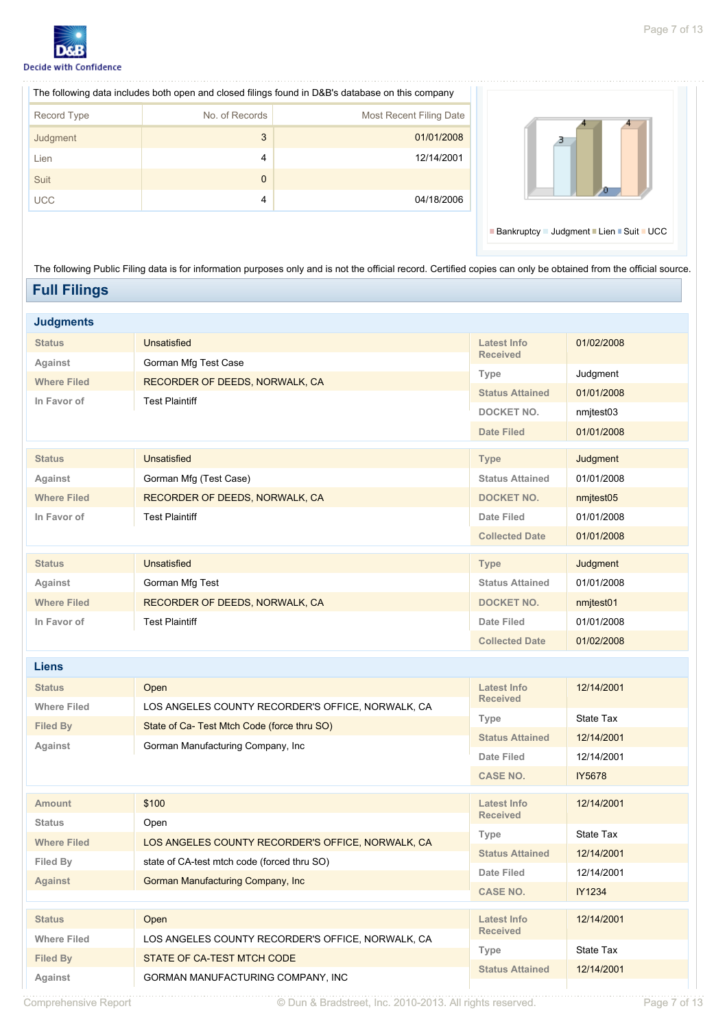

| The following data includes both open and closed filings found in D&B's database on this company |                |                         |  |  |  |  |
|--------------------------------------------------------------------------------------------------|----------------|-------------------------|--|--|--|--|
| Record Type                                                                                      | No. of Records | Most Recent Filing Date |  |  |  |  |
| Judgment                                                                                         | 3              | 01/01/2008              |  |  |  |  |
| Lien                                                                                             | 4              | 12/14/2001              |  |  |  |  |
| Suit                                                                                             | $\Omega$       |                         |  |  |  |  |
| <b>UCC</b>                                                                                       | 4              | 04/18/2006              |  |  |  |  |



Bankruptcy = Judgment = Lien = Suit = UCC

The following Public Filing data is for information purposes only and is not the official record. Certified copies can only be obtained from the official source. **Full Filings**

#### **Judgments Status** Unsatisfied Against **Gorman Mfg Test Case** Where Filed **RECORDER OF DEEDS, NORWALK, CA In Favor of Test Plaintiff Latest Info Received** 01/02/2008 **Type** Judgment **Status Attained** 01/01/2008 **DOCKET NO.** nmjtest03 **Date Filed** 01/01/2008 **Status** Unsatisfied Against **Gorman Mfg (Test Case)** Where Filed **RECORDER OF DEEDS, NORWALK, CA In Favor of** Test Plaintiff **Type** Judgment **Status Attained** 01/01/2008 DOCKET NO. nmjtest05 **Date Filed** 01/01/2008 **Collected Date** 01/01/2008 **Status** Unsatisfied Against **Gorman Mfg Test** Where Filed **RECORDER OF DEEDS, NORWALK, CA In Favor of** Test Plaintiff **Type** Judgment **Status Attained** 01/01/2008 DOCKET NO. nmjtest01 **Date Filed** 01/01/2008 **Collected Date** 01/02/2008 **Liens Status** Open **Where Filed** LOS ANGELES COUNTY RECORDER'S OFFICE, NORWALK, CA **Filed By** State of Ca- Test Mtch Code (force thru SO) **Against** Gorman Manufacturing Company, Inc **Latest Info Received** 12/14/2001 **Type** State Tax **Status Attained** 12/14/2001 **Date Filed** 12/14/2001 **CASE NO.** IY5678 **Amount** \$100 Status Open Where Filed LOS ANGELES COUNTY RECORDER'S OFFICE, NORWALK, CA Filed By state of CA-test mtch code (forced thru SO) **Against** Gorman Manufacturing Company, Inc. **Latest Info Received** 12/14/2001 **Type** State Tax **Status Attained** 12/14/2001 **Date Filed** 12/14/2001 **CASE NO.** IY1234 **Status** Open Where Filed LOS ANGELES COUNTY RECORDER'S OFFICE, NORWALK, CA Filed By **STATE OF CA-TEST MTCH CODE** Against **GORMAN MANUFACTURING COMPANY, INC Latest Info Received** 12/14/2001 **Type** State Tax **Status Attained** 12/14/2001

Comprehensive Report © Dun & Bradstreet, Inc. 2010-2013. All rights reserved. Page 7 of 13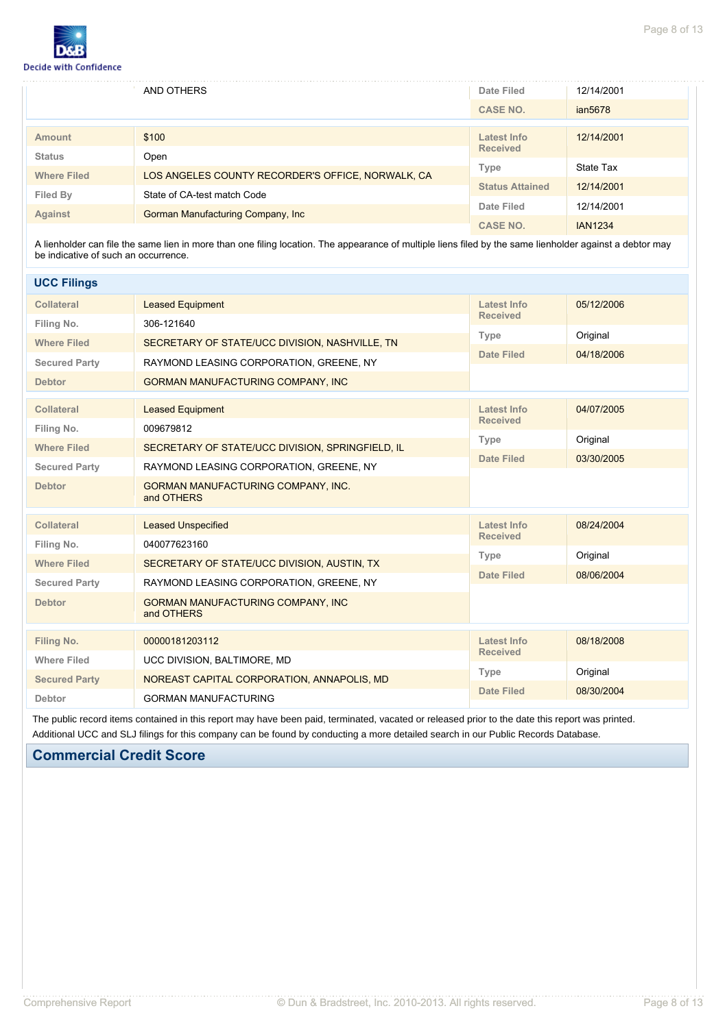

|                    | AND OTHERS                                        |                        | 12/14/2001     |  |
|--------------------|---------------------------------------------------|------------------------|----------------|--|
|                    |                                                   |                        | ian5678        |  |
|                    |                                                   |                        |                |  |
| <b>Amount</b>      | \$100                                             | Latest Info            | 12/14/2001     |  |
| <b>Status</b>      | Open                                              | <b>Received</b>        |                |  |
|                    |                                                   | Type                   | State Tax      |  |
| <b>Where Filed</b> | LOS ANGELES COUNTY RECORDER'S OFFICE, NORWALK, CA |                        |                |  |
|                    |                                                   | <b>Status Attained</b> | 12/14/2001     |  |
| Filed By           | State of CA-test match Code                       |                        |                |  |
| <b>Against</b>     | Gorman Manufacturing Company, Inc.                | Date Filed             | 12/14/2001     |  |
|                    |                                                   | <b>CASE NO.</b>        | <b>IAN1234</b> |  |

A lienholder can file the same lien in more than one filing location. The appearance of multiple liens filed by the same lienholder against a debtor may be indicative of such an occurrence.

| <b>UCC Filings</b>                           |                                                  |                                       |            |  |
|----------------------------------------------|--------------------------------------------------|---------------------------------------|------------|--|
| <b>Collateral</b>                            | <b>Leased Equipment</b>                          | <b>Latest Info</b>                    | 05/12/2006 |  |
| Filing No.                                   | 306-121640                                       | <b>Received</b>                       |            |  |
| <b>Where Filed</b>                           | SECRETARY OF STATE/UCC DIVISION, NASHVILLE, TN   | Type                                  | Original   |  |
| <b>Secured Party</b>                         | RAYMOND LEASING CORPORATION, GREENE, NY          | <b>Date Filed</b>                     | 04/18/2006 |  |
| <b>Debtor</b>                                | GORMAN MANUFACTURING COMPANY, INC                |                                       |            |  |
|                                              |                                                  |                                       |            |  |
| <b>Collateral</b>                            | <b>Leased Equipment</b>                          | <b>Latest Info</b><br><b>Received</b> | 04/07/2005 |  |
| Filing No.                                   | 009679812                                        | <b>Type</b>                           | Original   |  |
| <b>Where Filed</b>                           | SECRETARY OF STATE/UCC DIVISION, SPRINGFIELD, IL |                                       |            |  |
| <b>Secured Party</b>                         | RAYMOND LEASING CORPORATION, GREENE, NY          | <b>Date Filed</b>                     | 03/30/2005 |  |
| <b>Debtor</b>                                | GORMAN MANUFACTURING COMPANY, INC.<br>and OTHERS |                                       |            |  |
| <b>Collateral</b>                            | <b>Leased Unspecified</b>                        | <b>Latest Info</b>                    | 08/24/2004 |  |
| Filing No.                                   | 040077623160                                     | <b>Received</b>                       |            |  |
| <b>Where Filed</b>                           | SECRETARY OF STATE/UCC DIVISION, AUSTIN, TX      | <b>Type</b>                           | Original   |  |
| <b>Secured Party</b>                         | RAYMOND LEASING CORPORATION, GREENE, NY          | <b>Date Filed</b>                     | 08/06/2004 |  |
| <b>Debtor</b>                                | GORMAN MANUFACTURING COMPANY, INC<br>and OTHERS  |                                       |            |  |
| Filing No.                                   | 00000181203112                                   | <b>Latest Info</b>                    | 08/18/2008 |  |
| <b>Where Filed</b>                           | UCC DIVISION, BALTIMORE, MD                      | <b>Received</b>                       |            |  |
| <b>Secured Party</b>                         | NOREAST CAPITAL CORPORATION, ANNAPOLIS, MD       | <b>Type</b>                           | Original   |  |
|                                              |                                                  | <b>Date Filed</b>                     | 08/30/2004 |  |
| <b>GORMAN MANUFACTURING</b><br><b>Debtor</b> |                                                  |                                       |            |  |

The public record items contained in this report may have been paid, terminated, vacated or released prior to the date this report was printed. Additional UCC and SLJ filings for this company can be found by conducting a more detailed search in our Public Records Database.

# **Commercial Credit Score**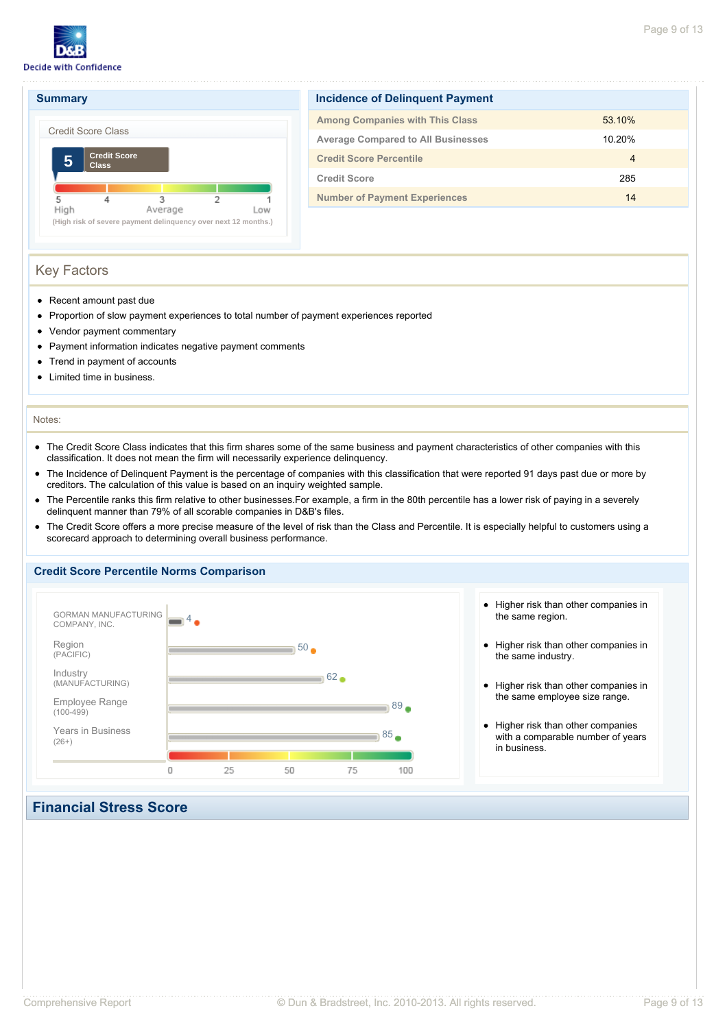





| Incidence of Delinguent Payment           |                |  |  |  |  |
|-------------------------------------------|----------------|--|--|--|--|
| <b>Among Companies with This Class</b>    | 53.10%         |  |  |  |  |
| <b>Average Compared to All Businesses</b> | 10.20%         |  |  |  |  |
| <b>Credit Score Percentile</b>            | $\overline{4}$ |  |  |  |  |
| <b>Credit Score</b>                       | 285            |  |  |  |  |
| <b>Number of Payment Experiences</b>      | 14             |  |  |  |  |
|                                           |                |  |  |  |  |

# Key Factors

- Recent amount past due
- Proportion of slow payment experiences to total number of payment experiences reported
- $\bullet$ Vendor payment commentary
- $\bullet$ Payment information indicates negative payment comments
- Trend in payment of accounts  $\bullet$
- Limited time in business.

### Notes:

- The Credit Score Class indicates that this firm shares some of the same business and payment characteristics of other companies with this  $\bullet$ classification. It does not mean the firm will necessarily experience delinquency.
- The Incidence of Delinquent Payment is the percentage of companies with this classification that were reported 91 days past due or more by  $\bullet$ creditors. The calculation of this value is based on an inquiry weighted sample.
- The Percentile ranks this firm relative to other businesses.For example, a firm in the 80th percentile has a lower risk of paying in a severely delinquent manner than 79% of all scorable companies in D&B's files.
- The Credit Score offers a more precise measure of the level of risk than the Class and Percentile. It is especially helpful to customers using a  $\bullet$ scorecard approach to determining overall business performance.

### **Credit Score Percentile Norms Comparison**



- Higher risk than other companies in the same region.
- Higher risk than other companies in the same industry.
- Higher risk than other companies in the same employee size range.
- Higher risk than other companies with a comparable number of years in business.

# **Financial Stress Score**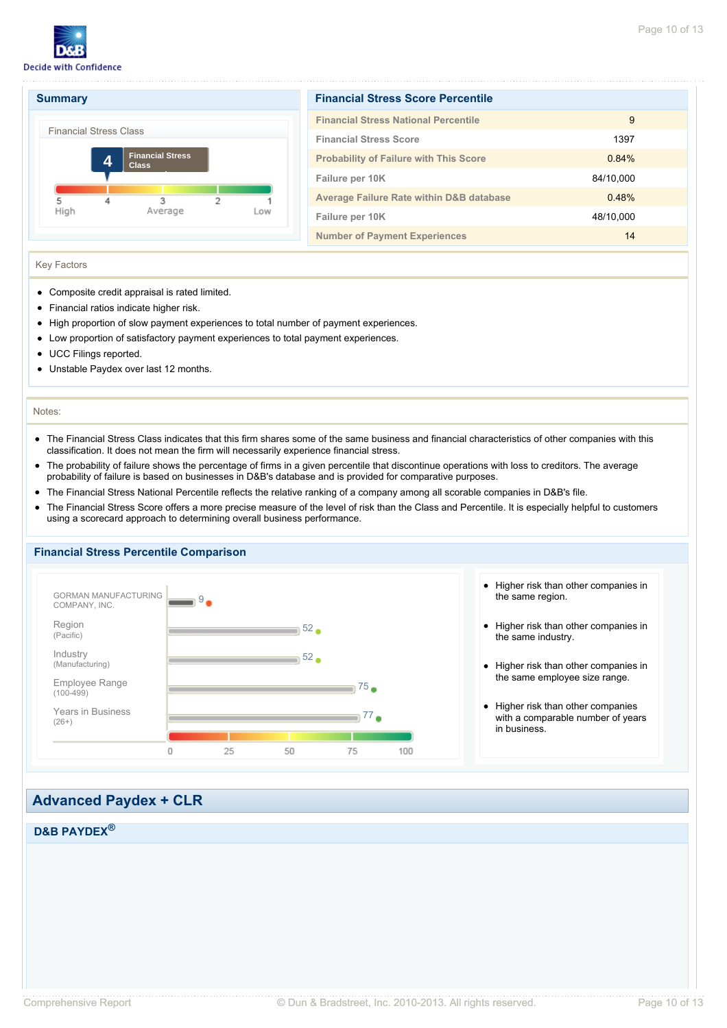



| <b>Financial Stress Score Percentile</b>            |           |  |  |  |  |
|-----------------------------------------------------|-----------|--|--|--|--|
| <b>Financial Stress National Percentile</b>         | 9         |  |  |  |  |
| <b>Financial Stress Score</b>                       | 1397      |  |  |  |  |
| <b>Probability of Failure with This Score</b>       | 0.84%     |  |  |  |  |
| Failure per 10K                                     | 84/10,000 |  |  |  |  |
| <b>Average Failure Rate within D&amp;B database</b> | 0.48%     |  |  |  |  |
| Failure per 10K                                     | 48/10,000 |  |  |  |  |
| <b>Number of Payment Experiences</b>                | 14        |  |  |  |  |

### Key Factors

- Composite credit appraisal is rated limited.
- Financial ratios indicate higher risk.
- High proportion of slow payment experiences to total number of payment experiences.
- Low proportion of satisfactory payment experiences to total payment experiences.
- UCC Filings reported.
- Unstable Paydex over last 12 months.  $\bullet$

### Notes:

- The Financial Stress Class indicates that this firm shares some of the same business and financial characteristics of other companies with this  $\bullet$ classification. It does not mean the firm will necessarily experience financial stress.
- The probability of failure shows the percentage of firms in a given percentile that discontinue operations with loss to creditors. The average  $\bullet$ probability of failure is based on businesses in D&B's database and is provided for comparative purposes.
- The Financial Stress National Percentile reflects the relative ranking of a company among all scorable companies in D&B's file.  $\bullet$
- The Financial Stress Score offers a more precise measure of the level of risk than the Class and Percentile. It is especially helpful to customers  $\bullet$ using a scorecard approach to determining overall business performance.

# **Financial Stress Percentile Comparison**



- Higher risk than other companies in the same region.
- Higher risk than other companies in the same industry.
- Higher risk than other companies in the same employee size range.
- Higher risk than other companies with a comparable number of years in business.

# **Advanced Paydex + CLR**

# **D&B PAYDEX®**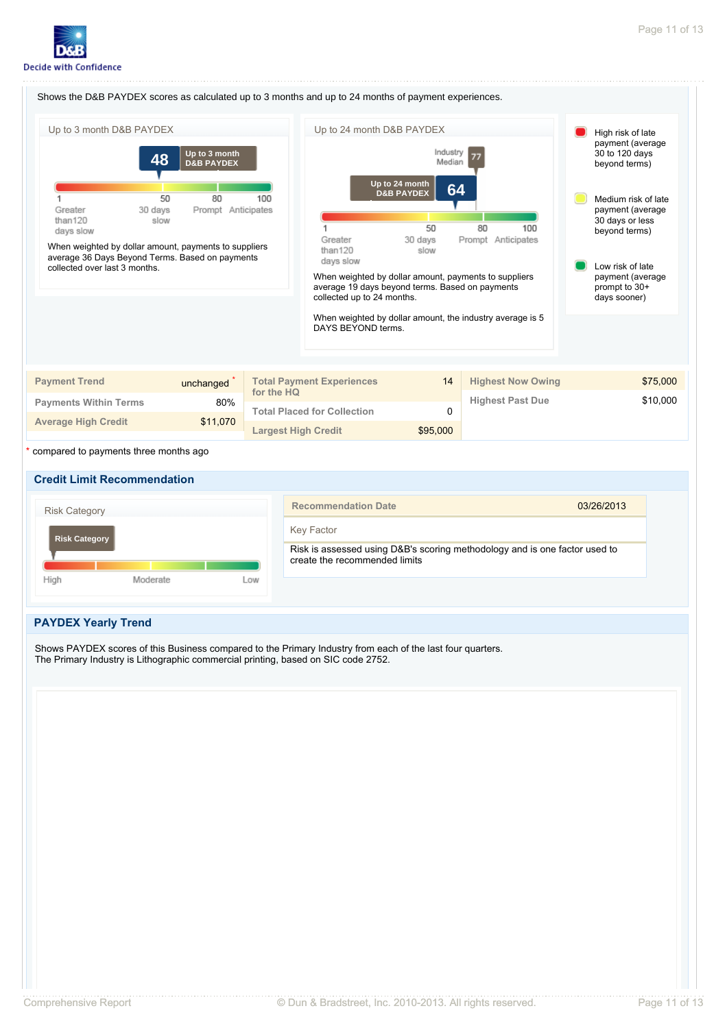







# **PAYDEX Yearly Trend**

Shows PAYDEX scores of this Business compared to the Primary Industry from each of the last four quarters. The Primary Industry is Lithographic commercial printing, based on SIC code 2752.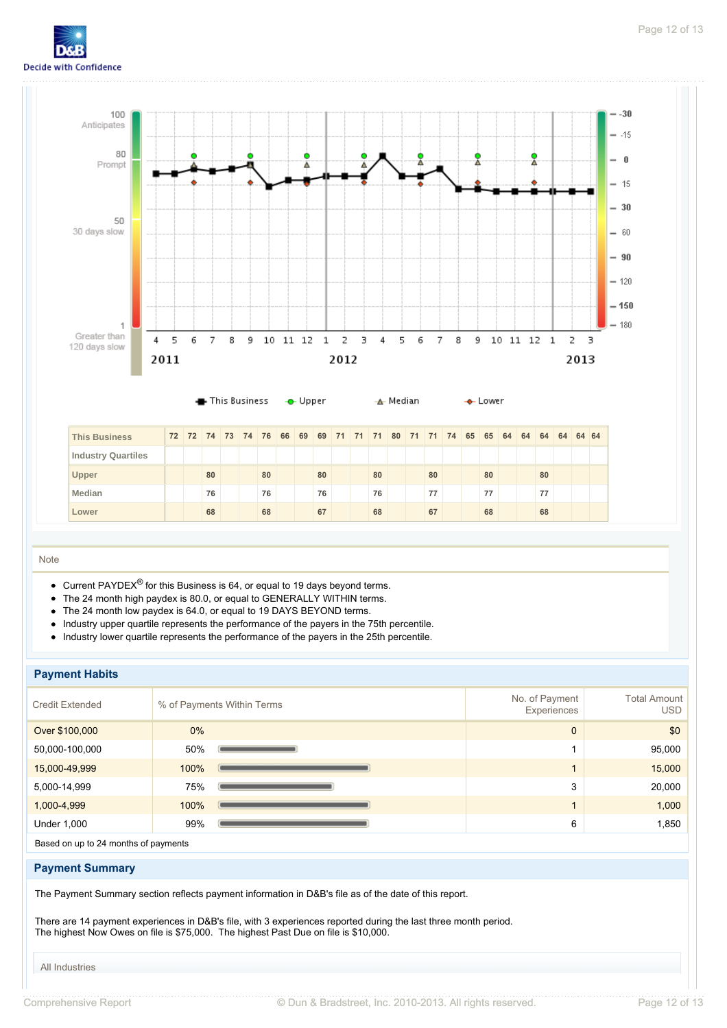



 **Lower 68 68 67 68 67 68 68**

### Note

- Current PAYDEX<sup>®</sup> for this Business is 64, or equal to 19 days beyond terms.
- The 24 month high paydex is 80.0, or equal to GENERALLY WITHIN terms.
- The 24 month low paydex is 64.0, or equal to 19 DAYS BEYOND terms.  $\bullet$
- Industry upper quartile represents the performance of the payers in the 75th percentile.  $\bullet$
- Industry lower quartile represents the performance of the payers in the 25th percentile.

### **Payment Habits**

| No. of Payment<br>Experiences | <b>Total Amount</b><br>USD |
|-------------------------------|----------------------------|
| $\mathbf{0}$                  | \$0                        |
|                               | 95,000                     |
|                               | 15,000                     |
| 3                             | 20,000                     |
|                               | 1,000                      |
| 6                             | 1,850                      |
|                               |                            |

Based on up to 24 months of payments

### **Payment Summary**

The Payment Summary section reflects payment information in D&B's file as of the date of this report.

There are 14 payment experiences in D&B's file, with 3 experiences reported during the last three month period. The highest Now Owes on file is \$75,000. The highest Past Due on file is \$10,000.

All Industries